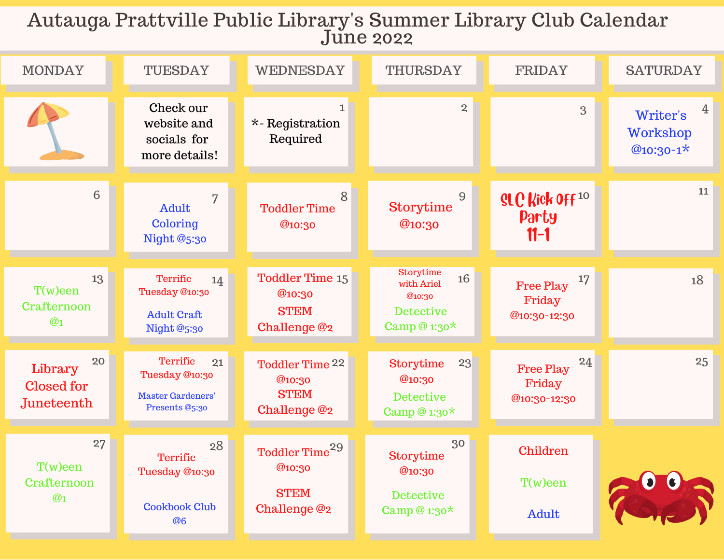## Autauga Prattville Public Library's Summer Library Club Calendar June 2022

| <b>MONDAY</b>                             | TUESDAY                                                                        | <b>WEDNESDAY</b>                                                    | <b>THURSDAY</b>                                                                      | <b>FRIDAY</b>                                    | <b>SATURDAY</b>                               |
|-------------------------------------------|--------------------------------------------------------------------------------|---------------------------------------------------------------------|--------------------------------------------------------------------------------------|--------------------------------------------------|-----------------------------------------------|
|                                           | Check our<br>website and<br>socials for<br>more details!                       | 1<br>$*$ -Registration<br>Required                                  | $\overline{2}$                                                                       | $\overline{3}$                                   | 4<br>Writer's<br><b>Workshop</b><br>@10:30-1* |
| 6                                         | 7<br>Adult<br>Coloring<br><b>Night @5:30</b>                                   | 8<br><b>Toddler Time</b><br>@10:30                                  | 9<br><b>Storytime</b><br>@10:30                                                      | SLC Kick Off <sup>10</sup><br>Party<br>$11-1$    | 11                                            |
| 13<br>$T(w)$ een<br>Crafternoon<br>@1     | Terrific<br>14<br>Tuesday @10:30<br><b>Adult Craft</b><br>Night @5:30          | <b>Toddler Time 15</b><br>@10:30<br><b>STEM</b><br>Challenge @2     | <b>Storytime</b><br>16<br>with Ariel<br>@10:30<br><b>Detective</b><br>Camp @ $1:30*$ | 17<br>Free Play<br>Friday<br>@10:30-12:30        | 18                                            |
| 20<br>Library<br>Closed for<br>Juneteenth | Terrific<br>21<br>Tuesday @10:30<br><b>Master Gardeners'</b><br>Presents @5:30 | <b>Toddler Time 22</b><br>@10:30<br><b>STEM</b><br>Challenge @2     | 23<br><b>Storytime</b><br>@10:30<br><b>Detective</b><br>Camp @ $1:30*$               | 24<br><b>Free Play</b><br>Friday<br>@10:30-12:30 | 25                                            |
| 27<br>$T(w)$ een<br>Crafternoon<br>@1     | 28<br>Terrific<br>Tuesday @10:30<br><b>Cookbook Club</b><br><b>@6</b>          | Toddler Time <sup>29</sup><br>@10:30<br><b>STEM</b><br>Challenge @2 | 30<br><b>Storytime</b><br>@10:30<br><b>Detective</b><br>Camp @ $1:30*$               | Children<br>$T(w)$ een<br>Adult                  |                                               |